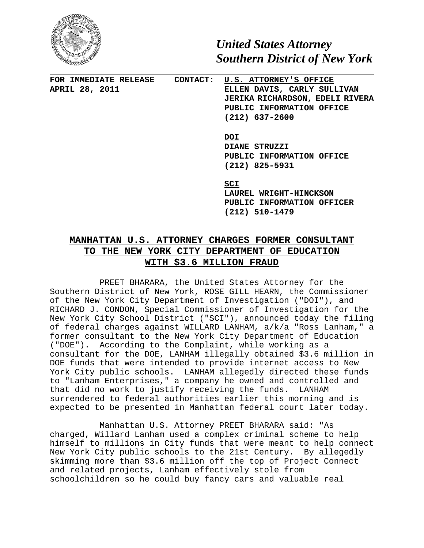

*United States Attorney Southern District of New York*

**FOR IMMEDIATE RELEASE CONTACT: U.S. ATTORNEY'S OFFICE APRIL 28, 2011 ELLEN DAVIS, CARLY SULLIVAN JERIKA RICHARDSON, EDELI RIVERA PUBLIC INFORMATION OFFICE (212) 637-2600**

> **DOI DIANE STRUZZI PUBLIC INFORMATION OFFICE (212) 825-5931**

**SCI**

**LAUREL WRIGHT-HINCKSON PUBLIC INFORMATION OFFICER (212) 510-1479**

## **MANHATTAN U.S. ATTORNEY CHARGES FORMER CONSULTANT TO THE NEW YORK CITY DEPARTMENT OF EDUCATION WITH \$3.6 MILLION FRAUD**

PREET BHARARA, the United States Attorney for the Southern District of New York, ROSE GILL HEARN, the Commissioner of the New York City Department of Investigation ("DOI"), and RICHARD J. CONDON, Special Commissioner of Investigation for the New York City School District ("SCI"), announced today the filing of federal charges against WILLARD LANHAM, a/k/a "Ross Lanham," a former consultant to the New York City Department of Education ("DOE"). According to the Complaint, while working as a consultant for the DOE, LANHAM illegally obtained \$3.6 million in DOE funds that were intended to provide internet access to New York City public schools. LANHAM allegedly directed these funds to "Lanham Enterprises," a company he owned and controlled and that did no work to justify receiving the funds. LANHAM surrendered to federal authorities earlier this morning and is expected to be presented in Manhattan federal court later today.

Manhattan U.S. Attorney PREET BHARARA said: "As charged, Willard Lanham used a complex criminal scheme to help himself to millions in City funds that were meant to help connect New York City public schools to the 21st Century. By allegedly skimming more than \$3.6 million off the top of Project Connect and related projects, Lanham effectively stole from schoolchildren so he could buy fancy cars and valuable real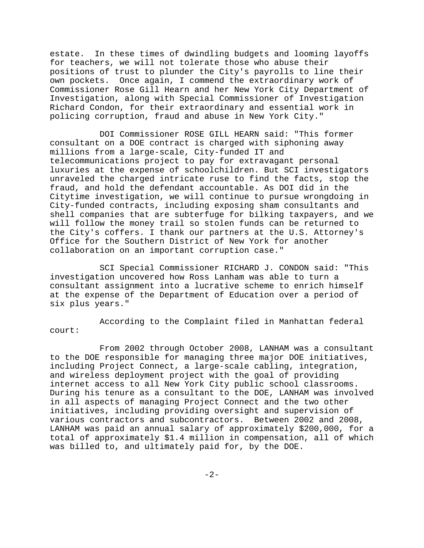estate. In these times of dwindling budgets and looming layoffs for teachers, we will not tolerate those who abuse their positions of trust to plunder the City's payrolls to line their own pockets. Once again, I commend the extraordinary work of Commissioner Rose Gill Hearn and her New York City Department of Investigation, along with Special Commissioner of Investigation Richard Condon, for their extraordinary and essential work in policing corruption, fraud and abuse in New York City."

DOI Commissioner ROSE GILL HEARN said: "This former consultant on a DOE contract is charged with siphoning away millions from a large-scale, City-funded IT and telecommunications project to pay for extravagant personal luxuries at the expense of schoolchildren. But SCI investigators unraveled the charged intricate ruse to find the facts, stop the fraud, and hold the defendant accountable. As DOI did in the Citytime investigation, we will continue to pursue wrongdoing in City-funded contracts, including exposing sham consultants and shell companies that are subterfuge for bilking taxpayers, and we will follow the money trail so stolen funds can be returned to the City's coffers. I thank our partners at the U.S. Attorney's Office for the Southern District of New York for another collaboration on an important corruption case."

SCI Special Commissioner RICHARD J. CONDON said: "This investigation uncovered how Ross Lanham was able to turn a consultant assignment into a lucrative scheme to enrich himself at the expense of the Department of Education over a period of six plus years."

According to the Complaint filed in Manhattan federal court:

From 2002 through October 2008, LANHAM was a consultant to the DOE responsible for managing three major DOE initiatives, including Project Connect, a large-scale cabling, integration, and wireless deployment project with the goal of providing internet access to all New York City public school classrooms. During his tenure as a consultant to the DOE, LANHAM was involved in all aspects of managing Project Connect and the two other initiatives, including providing oversight and supervision of various contractors and subcontractors. Between 2002 and 2008, LANHAM was paid an annual salary of approximately \$200,000, for a total of approximately \$1.4 million in compensation, all of which was billed to, and ultimately paid for, by the DOE.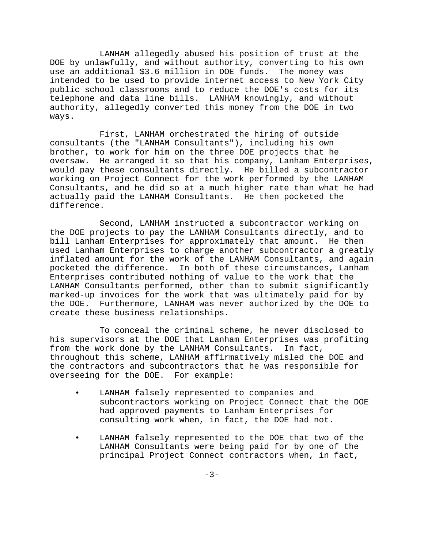LANHAM allegedly abused his position of trust at the DOE by unlawfully, and without authority, converting to his own use an additional \$3.6 million in DOE funds. The money was intended to be used to provide internet access to New York City public school classrooms and to reduce the DOE's costs for its telephone and data line bills. LANHAM knowingly, and without authority, allegedly converted this money from the DOE in two ways.

First, LANHAM orchestrated the hiring of outside consultants (the "LANHAM Consultants"), including his own brother, to work for him on the three DOE projects that he oversaw. He arranged it so that his company, Lanham Enterprises, would pay these consultants directly. He billed a subcontractor working on Project Connect for the work performed by the LANHAM Consultants, and he did so at a much higher rate than what he had actually paid the LANHAM Consultants. He then pocketed the difference.

Second, LANHAM instructed a subcontractor working on the DOE projects to pay the LANHAM Consultants directly, and to bill Lanham Enterprises for approximately that amount. He then used Lanham Enterprises to charge another subcontractor a greatly inflated amount for the work of the LANHAM Consultants, and again pocketed the difference. In both of these circumstances, Lanham Enterprises contributed nothing of value to the work that the LANHAM Consultants performed, other than to submit significantly marked-up invoices for the work that was ultimately paid for by the DOE. Furthermore, LANHAM was never authorized by the DOE to create these business relationships.

To conceal the criminal scheme, he never disclosed to his supervisors at the DOE that Lanham Enterprises was profiting from the work done by the LANHAM Consultants. In fact, throughout this scheme, LANHAM affirmatively misled the DOE and the contractors and subcontractors that he was responsible for overseeing for the DOE. For example:

- LANHAM falsely represented to companies and subcontractors working on Project Connect that the DOE had approved payments to Lanham Enterprises for consulting work when, in fact, the DOE had not.
- LANHAM falsely represented to the DOE that two of the LANHAM Consultants were being paid for by one of the principal Project Connect contractors when, in fact,